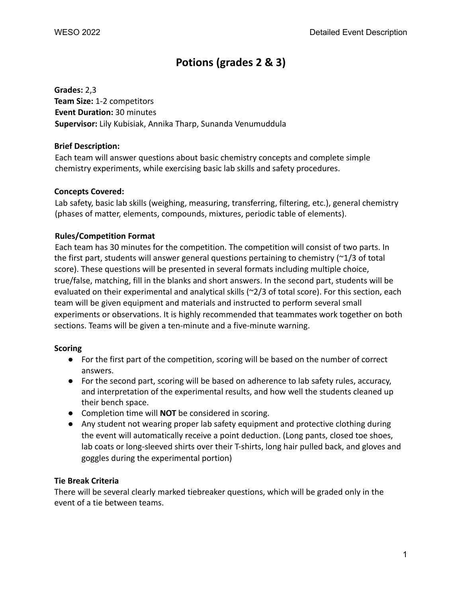# **Potions (grades 2 & 3)**

**Grades:** 2,3 **Team Size:** 1-2 competitors **Event Duration:** 30 minutes **Supervisor:** Lily Kubisiak, Annika Tharp, Sunanda Venumuddula

#### **Brief Description:**

Each team will answer questions about basic chemistry concepts and complete simple chemistry experiments, while exercising basic lab skills and safety procedures.

#### **Concepts Covered:**

Lab safety, basic lab skills (weighing, measuring, transferring, filtering, etc.), general chemistry (phases of matter, elements, compounds, mixtures, periodic table of elements).

## **Rules/Competition Format**

Each team has 30 minutes for the competition. The competition will consist of two parts. In the first part, students will answer general questions pertaining to chemistry  $(\sim 1/3)$  of total score). These questions will be presented in several formats including multiple choice, true/false, matching, fill in the blanks and short answers. In the second part, students will be evaluated on their experimental and analytical skills (~2/3 of total score). For this section, each team will be given equipment and materials and instructed to perform several small experiments or observations. It is highly recommended that teammates work together on both sections. Teams will be given a ten-minute and a five-minute warning.

#### **Scoring**

- For the first part of the competition, scoring will be based on the number of correct answers.
- For the second part, scoring will be based on adherence to lab safety rules, accuracy, and interpretation of the experimental results, and how well the students cleaned up their bench space.
- Completion time will **NOT** be considered in scoring.
- Any student not wearing proper lab safety equipment and protective clothing during the event will automatically receive a point deduction. (Long pants, closed toe shoes, lab coats or long-sleeved shirts over their T-shirts, long hair pulled back, and gloves and goggles during the experimental portion)

## **Tie Break Criteria**

There will be several clearly marked tiebreaker questions, which will be graded only in the event of a tie between teams.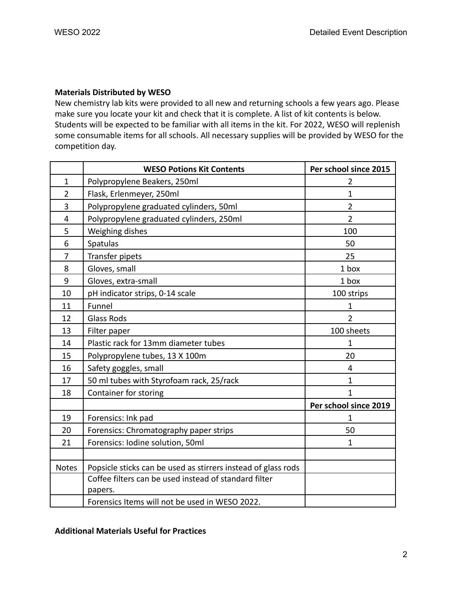#### **Materials Distributed by WESO**

New chemistry lab kits were provided to all new and returning schools a few years ago. Please make sure you locate your kit and check that it is complete. A list of kit contents is below. Students will be expected to be familiar with all items in the kit. For 2022, WESO will replenish some consumable items for all schools. All necessary supplies will be provided by WESO for the competition day.

|                | <b>WESO Potions Kit Contents</b>                                 | Per school since 2015 |
|----------------|------------------------------------------------------------------|-----------------------|
| $\mathbf{1}$   | Polypropylene Beakers, 250ml                                     | $\overline{2}$        |
| $\overline{2}$ | Flask, Erlenmeyer, 250ml                                         | $\mathbf{1}$          |
| 3              | Polypropylene graduated cylinders, 50ml                          | $\overline{2}$        |
| 4              | Polypropylene graduated cylinders, 250ml                         | $\overline{2}$        |
| 5              | Weighing dishes                                                  | 100                   |
| 6              | Spatulas                                                         | 50                    |
| 7              | Transfer pipets                                                  | 25                    |
| 8              | Gloves, small                                                    | 1 box                 |
| 9              | Gloves, extra-small                                              | 1 box                 |
| 10             | pH indicator strips, 0-14 scale                                  | 100 strips            |
| 11             | Funnel                                                           | $\mathbf{1}$          |
| 12             | <b>Glass Rods</b>                                                | $\overline{2}$        |
| 13             | Filter paper                                                     | 100 sheets            |
| 14             | Plastic rack for 13mm diameter tubes                             | 1                     |
| 15             | Polypropylene tubes, 13 X 100m                                   | 20                    |
| 16             | Safety goggles, small                                            | 4                     |
| 17             | 50 ml tubes with Styrofoam rack, 25/rack                         | 1                     |
| 18             | Container for storing                                            | 1                     |
|                |                                                                  | Per school since 2019 |
| 19             | Forensics: Ink pad                                               | 1                     |
| 20             | Forensics: Chromatography paper strips                           | 50                    |
| 21             | Forensics: Iodine solution, 50ml                                 | $\mathbf{1}$          |
|                |                                                                  |                       |
| <b>Notes</b>   | Popsicle sticks can be used as stirrers instead of glass rods    |                       |
|                | Coffee filters can be used instead of standard filter<br>papers. |                       |
|                | Forensics Items will not be used in WESO 2022.                   |                       |

## **Additional Materials Useful for Practices**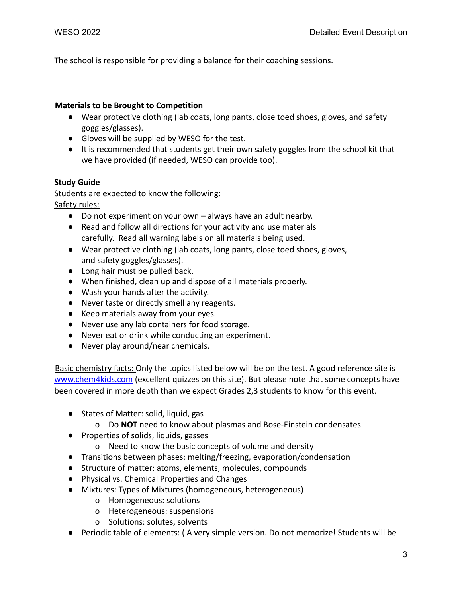The school is responsible for providing a balance for their coaching sessions.

#### **Materials to be Brought to Competition**

- Wear protective clothing (lab coats, long pants, close toed shoes, gloves, and safety goggles/glasses).
- Gloves will be supplied by WESO for the test.
- It is recommended that students get their own safety goggles from the school kit that we have provided (if needed, WESO can provide too).

## **Study Guide**

Students are expected to know the following: Safety rules:

- Do not experiment on your own always have an adult nearby.
- Read and follow all directions for your activity and use materials carefully. Read all warning labels on all materials being used.
- Wear protective clothing (lab coats, long pants, close toed shoes, gloves, and safety goggles/glasses).
- Long hair must be pulled back.
- When finished, clean up and dispose of all materials properly.
- Wash your hands after the activity.
- Never taste or directly smell any reagents.
- Keep materials away from your eyes.
- Never use any lab containers for food storage.
- Never eat or drink while conducting an experiment.
- Never play around/near chemicals.

Basic chemistry facts: Only the topics listed below will be on the test. A good reference site is [www.chem4kids.com](http://www.chem4kids.com) (excellent quizzes on this site). But please note that some concepts have been covered in more depth than we expect Grades 2,3 students to know for this event.

- States of Matter: solid, liquid, gas
	- o Do **NOT** need to know about plasmas and Bose-Einstein condensates
- Properties of solids, liquids, gasses
	- o Need to know the basic concepts of volume and density
- Transitions between phases: melting/freezing, evaporation/condensation
- Structure of matter: atoms, elements, molecules, compounds
- Physical vs. Chemical Properties and Changes
- Mixtures: Types of Mixtures (homogeneous, heterogeneous)
	- o Homogeneous: solutions
	- o Heterogeneous: suspensions
	- o Solutions: solutes, solvents
- Periodic table of elements: ( A very simple version. Do not memorize! Students will be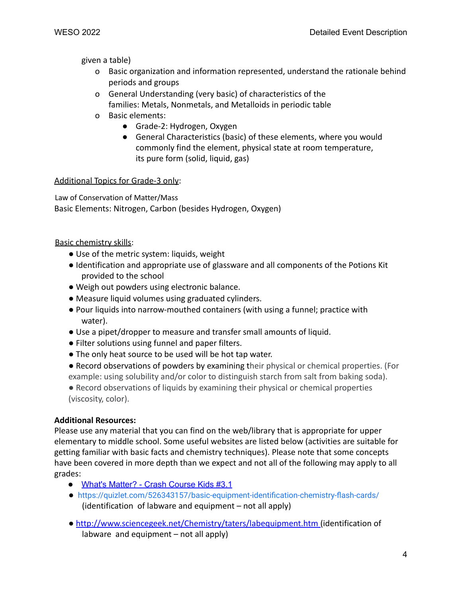given a table)

- o Basic organization and information represented, understand the rationale behind periods and groups
- o General Understanding (very basic) of characteristics of the families: Metals, Nonmetals, and Metalloids in periodic table
- o Basic elements:
	- Grade-2: Hydrogen, Oxygen
	- General Characteristics (basic) of these elements, where you would commonly find the element, physical state at room temperature, its pure form (solid, liquid, gas)

# Additional Topics for Grade-3 only:

Law of Conservation of Matter/Mass Basic Elements: Nitrogen, Carbon (besides Hydrogen, Oxygen)

# Basic chemistry skills:

- Use of the metric system: liquids, weight
- Identification and appropriate use of glassware and all components of the Potions Kit provided to the school
- Weigh out powders using electronic balance.
- Measure liquid volumes using graduated cylinders.
- Pour liquids into narrow-mouthed containers (with using a funnel; practice with water).
- Use a pipet/dropper to measure and transfer small amounts of liquid.
- Filter solutions using funnel and paper filters.
- The only heat source to be used will be hot tap water.
- Record observations of powders by examining their physical or chemical properties. (For example: using solubility and/or color to distinguish starch from salt from baking soda).
- Record observations of liquids by examining their physical or chemical properties (viscosity, color).

# **Additional Resources:**

Please use any material that you can find on the web/library that is appropriate for upper elementary to middle school. Some useful websites are listed below (activities are suitable for getting familiar with basic facts and chemistry techniques). Please note that some concepts have been covered in more depth than we expect and not all of the following may apply to all grades:

- What's [Matter?](https://youtu.be/ELchwUIlWa8) Crash Course Kids #3.1
- <https://quizlet.com/526343157/basic-equipment-identification-chemistry-flash-cards/> (identification of labware and equipment – not all apply)
- http://www.sciencegeek.net/Chemistry/taters/labequipment.htm (identification of labware and equipment – not all apply)